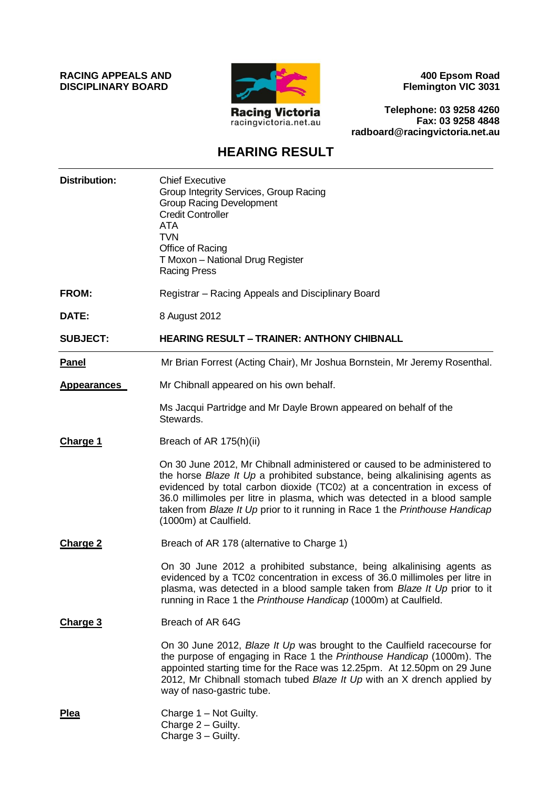**RACING APPEALS AND DISCIPLINARY BOARD**



**400 Epsom Road Flemington VIC 3031**

**Telephone: 03 9258 4260 Fax: 03 9258 4848 radboard@racingvictoria.net.au**

## **HEARING RESULT**

| <b>Distribution:</b> | <b>Chief Executive</b><br>Group Integrity Services, Group Racing<br><b>Group Racing Development</b><br><b>Credit Controller</b><br><b>ATA</b><br><b>TVN</b><br>Office of Racing<br>T Moxon - National Drug Register<br><b>Racing Press</b>                                                                                                                                                                                |
|----------------------|---------------------------------------------------------------------------------------------------------------------------------------------------------------------------------------------------------------------------------------------------------------------------------------------------------------------------------------------------------------------------------------------------------------------------|
| FROM:                | Registrar - Racing Appeals and Disciplinary Board                                                                                                                                                                                                                                                                                                                                                                         |
| DATE:                | 8 August 2012                                                                                                                                                                                                                                                                                                                                                                                                             |
| <b>SUBJECT:</b>      | <b>HEARING RESULT - TRAINER: ANTHONY CHIBNALL</b>                                                                                                                                                                                                                                                                                                                                                                         |
| <b>Panel</b>         | Mr Brian Forrest (Acting Chair), Mr Joshua Bornstein, Mr Jeremy Rosenthal.                                                                                                                                                                                                                                                                                                                                                |
| <b>Appearances</b>   | Mr Chibnall appeared on his own behalf.                                                                                                                                                                                                                                                                                                                                                                                   |
|                      | Ms Jacqui Partridge and Mr Dayle Brown appeared on behalf of the<br>Stewards.                                                                                                                                                                                                                                                                                                                                             |
| <b>Charge 1</b>      | Breach of AR 175(h)(ii)                                                                                                                                                                                                                                                                                                                                                                                                   |
|                      | On 30 June 2012, Mr Chibnall administered or caused to be administered to<br>the horse Blaze It Up a prohibited substance, being alkalinising agents as<br>evidenced by total carbon dioxide (TC02) at a concentration in excess of<br>36.0 millimoles per litre in plasma, which was detected in a blood sample<br>taken from Blaze It Up prior to it running in Race 1 the Printhouse Handicap<br>(1000m) at Caulfield. |
| Charge 2             | Breach of AR 178 (alternative to Charge 1)                                                                                                                                                                                                                                                                                                                                                                                |
|                      | On 30 June 2012 a prohibited substance, being alkalinising agents as<br>evidenced by a TC02 concentration in excess of 36.0 millimoles per litre in<br>plasma, was detected in a blood sample taken from <i>Blaze It Up</i> prior to it<br>running in Race 1 the Printhouse Handicap (1000m) at Caulfield.                                                                                                                |
| <b>Charge 3</b>      | Breach of AR 64G                                                                                                                                                                                                                                                                                                                                                                                                          |
|                      | On 30 June 2012, Blaze It Up was brought to the Caulfield racecourse for<br>the purpose of engaging in Race 1 the Printhouse Handicap (1000m). The<br>appointed starting time for the Race was 12.25pm. At 12.50pm on 29 June<br>2012, Mr Chibnall stomach tubed Blaze It Up with an X drench applied by<br>way of naso-gastric tube.                                                                                     |
| <b>Plea</b>          | Charge 1 - Not Guilty.<br>Charge 2 - Guilty.<br>Charge 3 - Guilty.                                                                                                                                                                                                                                                                                                                                                        |